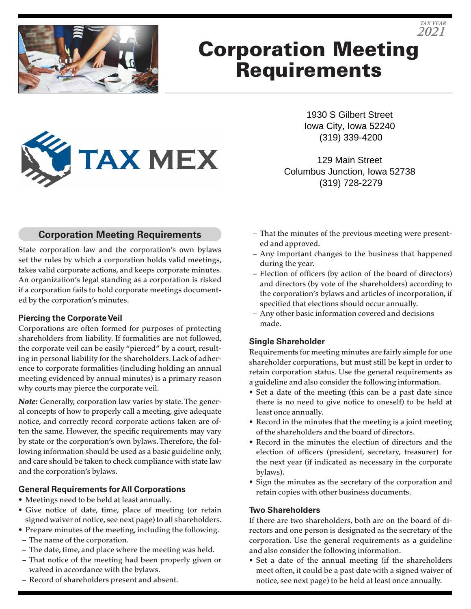

# Corporation Meeting Requirements



1930 S Gilbert Street Iowa City, Iowa 52240 (319) 339-4200

*TAX YEAR 2021*

129 Main Street Columbus Junction, Iowa 52738 (319) 728-2279

### **Corporation Meeting Requirements**

State corporation law and the corporation's own bylaws set the rules by which a corporation holds valid meetings, takes valid corporate actions, and keeps corporate minutes. An organization's legal standing as a corporation is risked if a corporation fails to hold corporate meetings documented by the corporation's minutes.

#### **Piercing the Corporate Veil**

Corporations are often formed for purposes of protecting shareholders from liability. If formalities are not followed, the corporate veil can be easily "pierced" by a court, resulting in personal liability for the shareholders. Lack of adherence to corporate formalities (including holding an annual meeting evidenced by annual minutes) is a primary reason why courts may pierce the corporate veil.

*Note:* Generally, corporation law varies by state. The general concepts of how to properly call a meeting, give adequate notice, and correctly record corporate actions taken are often the same. However, the specific requirements may vary by state or the corporation's own bylaws. Therefore, the following information should be used as a basic guideline only, and care should be taken to check compliance with state law and the corporation's bylaws.

#### **General Requirements for All Corporations**

- Meetings need to be held at least annually.
- Give notice of date, time, place of meeting (or retain signed waiver of notice, see next page) to all shareholders.
- Prepare minutes of the meeting, including the following.
- The name of the corporation.
- The date, time, and place where the meeting was held.
- That notice of the meeting had been properly given or waived in accordance with the bylaws.
- Record of shareholders present and absent.
- That the minutes of the previous meeting were presented and approved.
- Any important changes to the business that happened during the year.
- Election of officers (by action of the board of directors) and directors (by vote of the shareholders) according to the corporation's bylaws and articles of incorporation, if specified that elections should occur annually.
- Any other basic information covered and decisions made.

#### **Single Shareholder**

Requirements for meeting minutes are fairly simple for one shareholder corporations, but must still be kept in order to retain corporation status. Use the general requirements as a guideline and also consider the following information.

- Set a date of the meeting (this can be a past date since there is no need to give notice to oneself) to be held at least once annually.
- Record in the minutes that the meeting is a joint meeting of the shareholders and the board of directors.
- Record in the minutes the election of directors and the election of officers (president, secretary, treasurer) for the next year (if indicated as necessary in the corporate bylaws).
- Sign the minutes as the secretary of the corporation and retain copies with other business documents.

#### **Two Shareholders**

If there are two shareholders, both are on the board of directors and one person is designated as the secretary of the corporation. Use the general requirements as a guideline and also consider the following information.

• Set a date of the annual meeting (if the shareholders meet often, it could be a past date with a signed waiver of notice, see next page) to be held at least once annually.